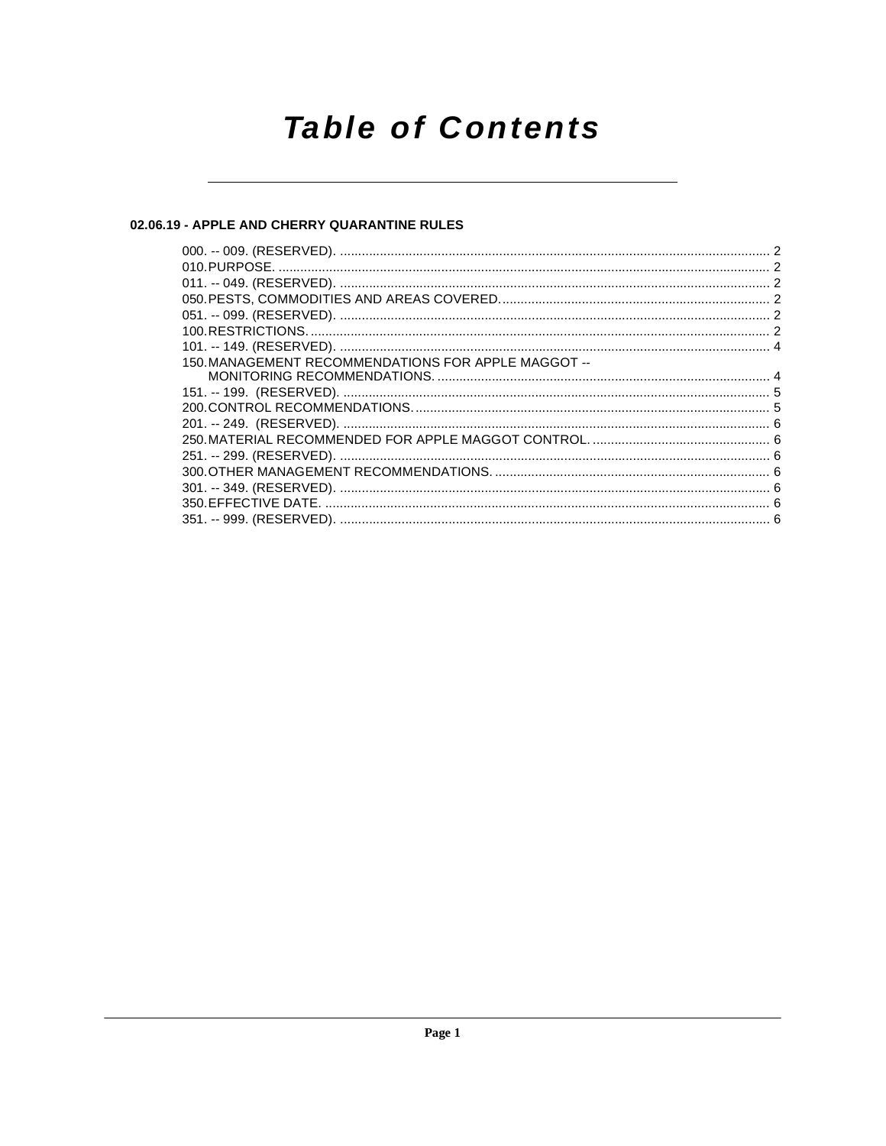# **Table of Contents**

#### 02.06.19 - APPLE AND CHERRY QUARANTINE RULES

| 150. MANAGEMENT RECOMMENDATIONS FOR APPLE MAGGOT -- |  |
|-----------------------------------------------------|--|
|                                                     |  |
|                                                     |  |
|                                                     |  |
|                                                     |  |
|                                                     |  |
|                                                     |  |
|                                                     |  |
|                                                     |  |
|                                                     |  |
|                                                     |  |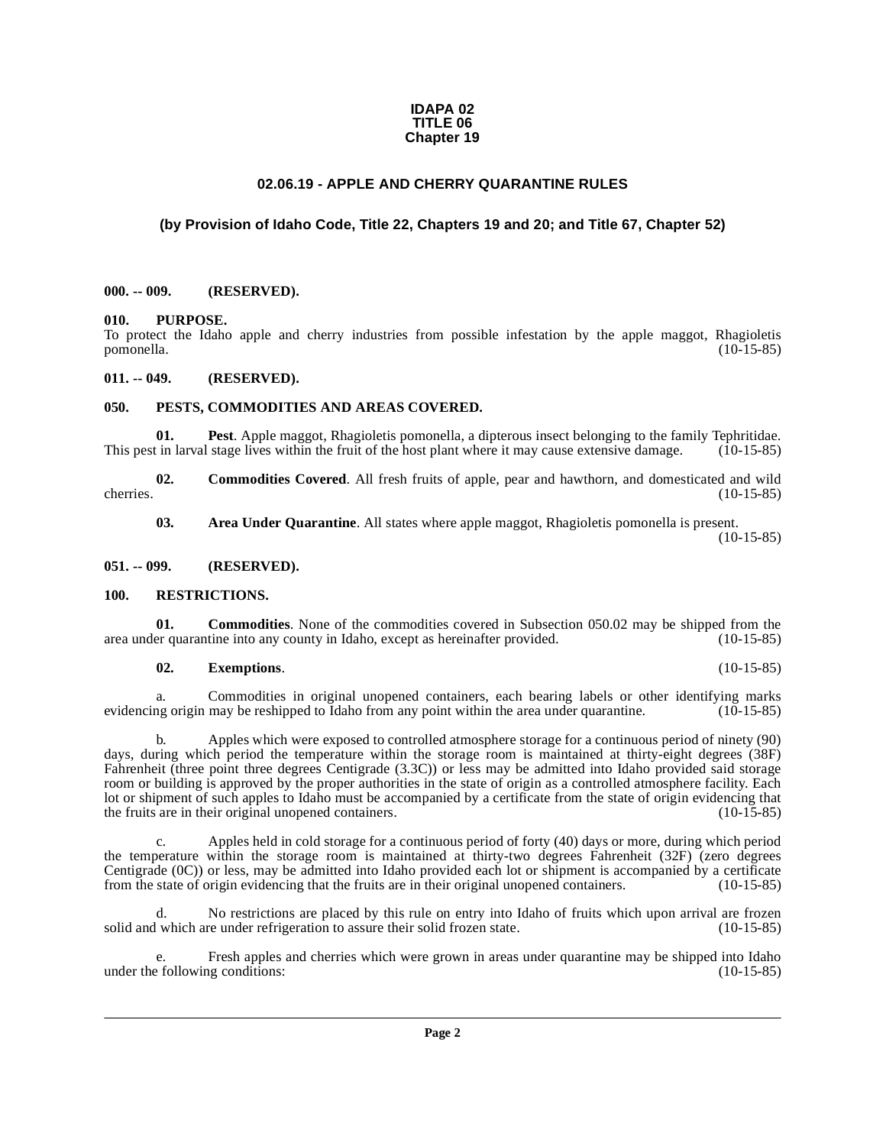#### **IDAPA 02 TITLE 06 Chapter 19**

#### **02.06.19 - APPLE AND CHERRY QUARANTINE RULES**

#### <span id="page-1-0"></span>**(by Provision of Idaho Code, Title 22, Chapters 19 and 20; and Title 67, Chapter 52)**

#### <span id="page-1-1"></span>**000. -- 009. (RESERVED).**

#### <span id="page-1-2"></span>**010. PURPOSE.**

To protect the Idaho apple and cherry industries from possible infestation by the apple maggot, Rhagioletis pomonella. (10-15-85) pomonella. (10-15-85)

#### <span id="page-1-3"></span>**011. -- 049. (RESERVED).**

#### <span id="page-1-10"></span><span id="page-1-4"></span>**050. PESTS, COMMODITIES AND AREAS COVERED.**

<span id="page-1-9"></span>**01. Pest**. Apple maggot, Rhagioletis pomonella, a dipterous insect belonging to the family Tephritidae. This pest in larval stage lives within the fruit of the host plant where it may cause extensive damage. (10-15-85)

**02.** Commodities Covered. All fresh fruits of apple, pear and hawthorn, and domesticated and wild (10-15-85) cherries. (10-15-85)

<span id="page-1-8"></span><span id="page-1-7"></span>**03.** Area Under Quarantine. All states where apple maggot, Rhagioletis pomonella is present.

 $(10-15-85)$ 

#### <span id="page-1-5"></span>**051. -- 099. (RESERVED).**

#### <span id="page-1-11"></span><span id="page-1-6"></span>**100. RESTRICTIONS.**

**01. Commodities**. None of the commodities covered in Subsection 050.02 may be shipped from the er quarantine into any county in Idaho, except as hereinafter provided. (10-15-85) area under quarantine into any county in Idaho, except as hereinafter provided.

#### **02. Exemptions**. (10-15-85)

a. Commodities in original unopened containers, each bearing labels or other identifying marks evidencing origin may be reshipped to Idaho from any point within the area under quarantine. (10-15-85)

b. Apples which were exposed to controlled atmosphere storage for a continuous period of ninety (90) days, during which period the temperature within the storage room is maintained at thirty-eight degrees (38F) Fahrenheit (three point three degrees Centigrade (3.3C)) or less may be admitted into Idaho provided said storage room or building is approved by the proper authorities in the state of origin as a controlled atmosphere facility. Each lot or shipment of such apples to Idaho must be accompanied by a certificate from the state of origin evidencing that the fruits are in their original unopened containers. (10-15-85)

c. Apples held in cold storage for a continuous period of forty (40) days or more, during which period the temperature within the storage room is maintained at thirty-two degrees Fahrenheit (32F) (zero degrees Centigrade (0C)) or less, may be admitted into Idaho provided each lot or shipment is accompanied by a certificate from the state of origin evidencing that the fruits are in their original unopened containers. (10-15-85)

No restrictions are placed by this rule on entry into Idaho of fruits which upon arrival are frozen solid and which are under refrigeration to assure their solid frozen state. (10-15-85)

e. Fresh apples and cherries which were grown in areas under quarantine may be shipped into Idaho e following conditions: (10-15-85) under the following conditions: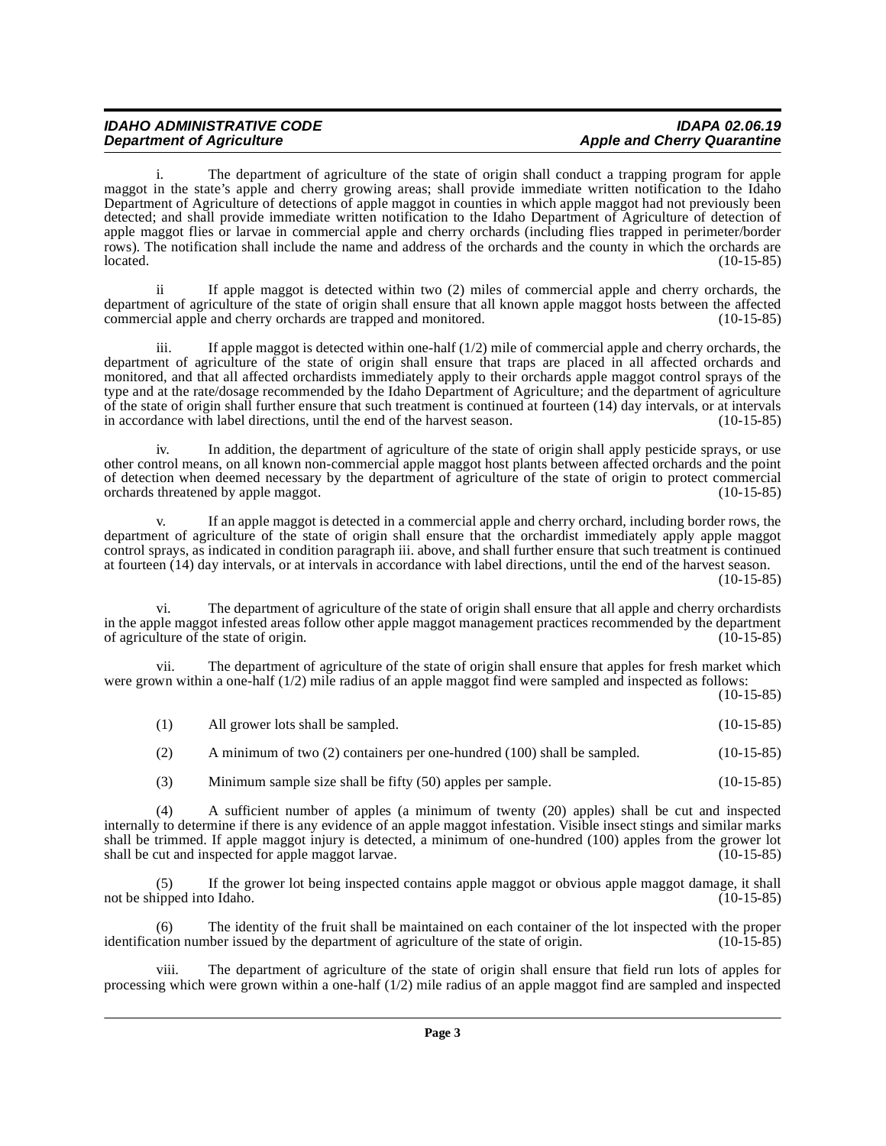# IDAHO ADMINISTRATIVE CODE **IDAHO ADMINISTRATIVE CODE**<br>Department of Agriculture **inclusively** and Cherry Quarantine

# **Apple and Cherry Quarantine**

The department of agriculture of the state of origin shall conduct a trapping program for apple maggot in the state's apple and cherry growing areas; shall provide immediate written notification to the Idaho Department of Agriculture of detections of apple maggot in counties in which apple maggot had not previously been detected; and shall provide immediate written notification to the Idaho Department of Agriculture of detection of apple maggot flies or larvae in commercial apple and cherry orchards (including flies trapped in perimeter/border rows). The notification shall include the name and address of the orchards and the county in which the orchards are located. (10-15-85)  $\lvert 10^{-15-85} \rvert$  (10-15-85)

ii If apple maggot is detected within two (2) miles of commercial apple and cherry orchards, the department of agriculture of the state of origin shall ensure that all known apple maggot hosts between the affected commercial apple and cherry orchards are trapped and monitored. (10-15-85)

iii. If apple maggot is detected within one-half (1/2) mile of commercial apple and cherry orchards, the department of agriculture of the state of origin shall ensure that traps are placed in all affected orchards and monitored, and that all affected orchardists immediately apply to their orchards apple maggot control sprays of the type and at the rate/dosage recommended by the Idaho Department of Agriculture; and the department of agriculture of the state of origin shall further ensure that such treatment is continued at fourteen  $(14)$  day intervals, or at intervals in accordance with label directions, until the end of the harvest season.  $(10-15-85)$ in accordance with label directions, until the end of the harvest season.

iv. In addition, the department of agriculture of the state of origin shall apply pesticide sprays, or use other control means, on all known non-commercial apple maggot host plants between affected orchards and the point of detection when deemed necessary by the department of agriculture of the state of origin to protect commercial orchards threatened by apple maggot. (10-15-85) orchards threatened by apple maggot.

v. If an apple maggot is detected in a commercial apple and cherry orchard, including border rows, the department of agriculture of the state of origin shall ensure that the orchardist immediately apply apple maggot control sprays, as indicated in condition paragraph iii. above, and shall further ensure that such treatment is continued at fourteen (14) day intervals, or at intervals in accordance with label directions, until the end of the harvest season.

 $(10-15-85)$ 

The department of agriculture of the state of origin shall ensure that all apple and cherry orchardists in the apple maggot infested areas follow other apple maggot management practices recommended by the department of agriculture of the state of origin. (10-15-85) of agriculture of the state of origin.

vii. The department of agriculture of the state of origin shall ensure that apples for fresh market which were grown within a one-half (1/2) mile radius of an apple maggot find were sampled and inspected as follows:

(10-15-85)

| (1) | All grower lots shall be sampled. | $(10-15-85)$ |
|-----|-----------------------------------|--------------|
|     |                                   |              |

| (2) | A minimum of two (2) containers per one-hundred (100) shall be sampled. | $(10-15-85)$ |
|-----|-------------------------------------------------------------------------|--------------|
|-----|-------------------------------------------------------------------------|--------------|

(3) Minimum sample size shall be fifty (50) apples per sample. (10-15-85)

(4) A sufficient number of apples (a minimum of twenty (20) apples) shall be cut and inspected internally to determine if there is any evidence of an apple maggot infestation. Visible insect stings and similar marks shall be trimmed. If apple maggot injury is detected, a minimum of one-hundred (100) apples from the grower lot shall be cut and inspected for apple maggot larvae. (10-15-85)

(5) If the grower lot being inspected contains apple maggot or obvious apple maggot damage, it shall ipped into Idaho. (10-15-85) not be shipped into Idaho.

(6) The identity of the fruit shall be maintained on each container of the lot inspected with the proper ation number issued by the department of agriculture of the state of origin. (10-15-85) identification number issued by the department of agriculture of the state of origin.

The department of agriculture of the state of origin shall ensure that field run lots of apples for processing which were grown within a one-half (1/2) mile radius of an apple maggot find are sampled and inspected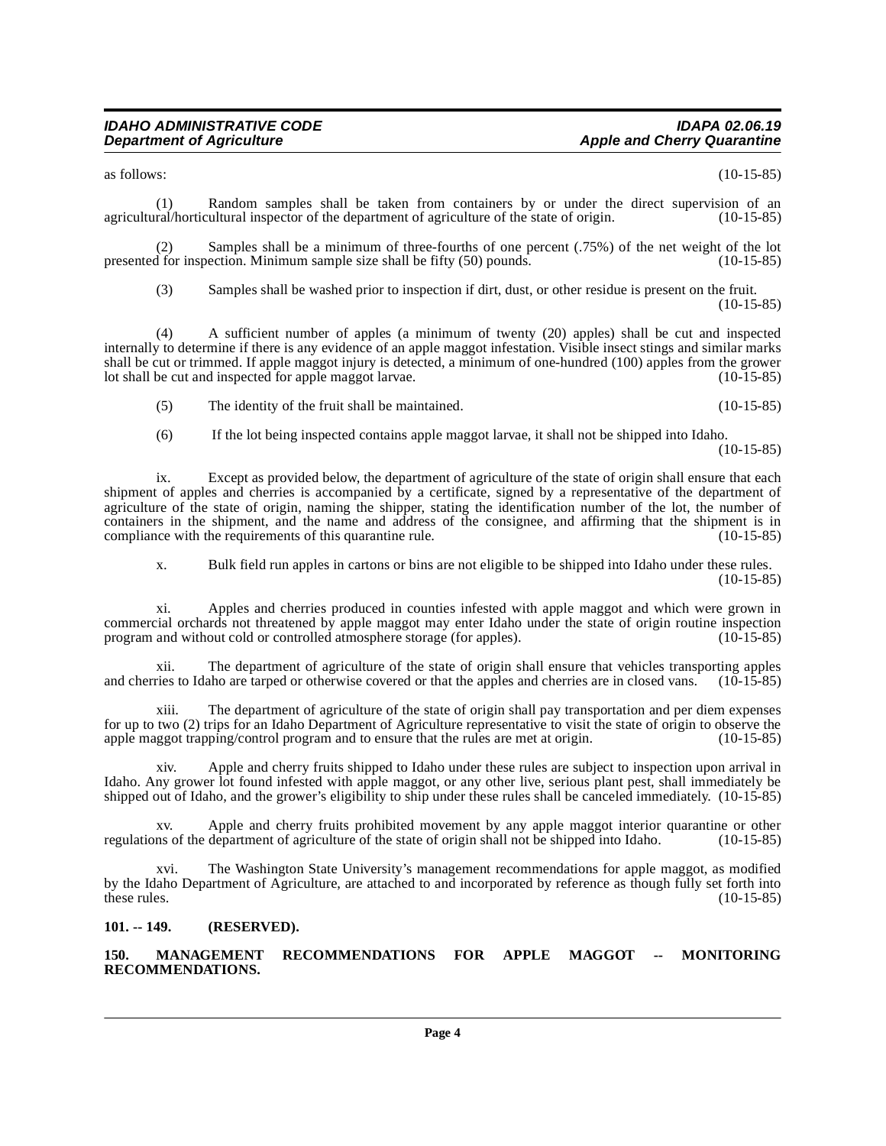$\alpha$ s follows:  $(10-15-85)$ 

(1) Random samples shall be taken from containers by or under the direct supervision of an ral/horticultural inspector of the department of agriculture of the state of origin. (10-15-85) agricultural/horticultural inspector of the department of agriculture of the state of origin.

(2) Samples shall be a minimum of three-fourths of one percent (.75%) of the net weight of the lot of the ret inspection. Minimum sample size shall be fifty (50) pounds. presented for inspection. Minimum sample size shall be fifty  $(50)$  pounds.

(3) Samples shall be washed prior to inspection if dirt, dust, or other residue is present on the fruit. (10-15-85)

(4) A sufficient number of apples (a minimum of twenty (20) apples) shall be cut and inspected internally to determine if there is any evidence of an apple maggot infestation. Visible insect stings and similar marks shall be cut or trimmed. If apple maggot injury is detected, a minimum of one-hundred (100) apples from the grower<br>lot shall be cut and inspected for apple maggot larvae. lot shall be cut and inspected for apple maggot larvae.

(5) The identity of the fruit shall be maintained. (10-15-85)

(6) If the lot being inspected contains apple maggot larvae, it shall not be shipped into Idaho.

(10-15-85)

ix. Except as provided below, the department of agriculture of the state of origin shall ensure that each shipment of apples and cherries is accompanied by a certificate, signed by a representative of the department of agriculture of the state of origin, naming the shipper, stating the identification number of the lot, the number of containers in the shipment, and the name and address of the consignee, and affirming that the shipment is in compliance with the requirements of this quarantine rule. compliance with the requirements of this quarantine rule.

x. Bulk field run apples in cartons or bins are not eligible to be shipped into Idaho under these rules. (10-15-85)

xi. Apples and cherries produced in counties infested with apple maggot and which were grown in commercial orchards not threatened by apple maggot may enter Idaho under the state of origin routine inspection program and without cold or controlled atmosphere storage (for apples). (10-15-85) program and without cold or controlled atmosphere storage (for apples).

xii. The department of agriculture of the state of origin shall ensure that vehicles transporting apples ries to Idaho are tarped or otherwise covered or that the apples and cherries are in closed vans. (10-15-85) and cherries to Idaho are tarped or otherwise covered or that the apples and cherries are in closed vans.

xiii. The department of agriculture of the state of origin shall pay transportation and per diem expenses for up to two (2) trips for an Idaho Department of Agriculture representative to visit the state of origin to observe the apple maggot trapping/control program and to ensure that the rules are met at origin. (10-15-85) apple maggot trapping/control program and to ensure that the rules are met at origin.

xiv. Apple and cherry fruits shipped to Idaho under these rules are subject to inspection upon arrival in Idaho. Any grower lot found infested with apple maggot, or any other live, serious plant pest, shall immediately be shipped out of Idaho, and the grower's eligibility to ship under these rules shall be canceled immediately. (10-15-85)

xv. Apple and cherry fruits prohibited movement by any apple maggot interior quarantine or other regulations of the department of agriculture of the state of origin shall not be shipped into Idaho. (10-15-85)

xvi. The Washington State University's management recommendations for apple maggot, as modified by the Idaho Department of Agriculture, are attached to and incorporated by reference as though fully set forth into these rules. (10-15-85) these rules.  $(10-15-85)$ 

#### <span id="page-3-0"></span>**101. -- 149. (RESERVED).**

<span id="page-3-2"></span><span id="page-3-1"></span>**150. MANAGEMENT RECOMMENDATIONS FOR APPLE MAGGOT -- MONITORING RECOMMENDATIONS.**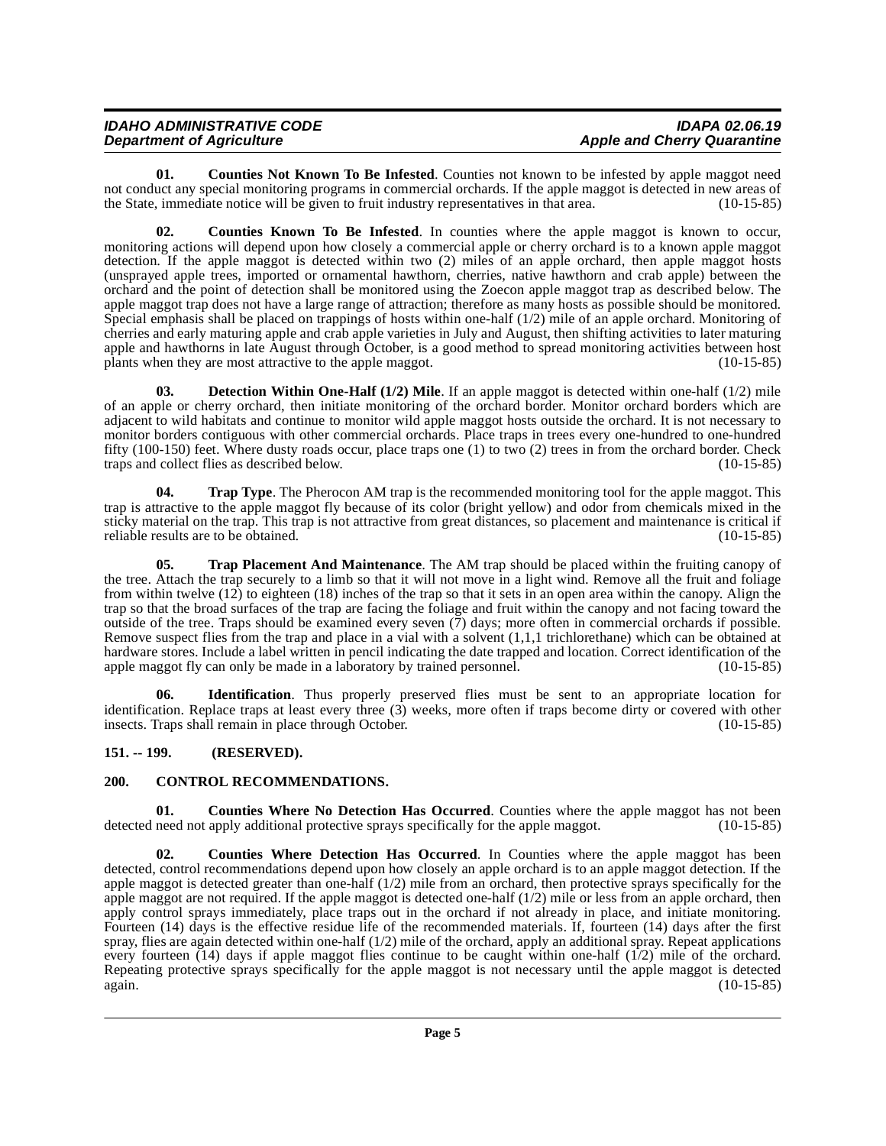| <b>IDAHO ADMINISTRATIVE CODE</b> | IDAPA 02.06.19                     |
|----------------------------------|------------------------------------|
| <b>Department of Agriculture</b> | <b>Apple and Cherry Quarantine</b> |

<span id="page-4-4"></span>**01.** Counties Not Known To Be Infested. Counties not known to be infested by apple maggot need not conduct any special monitoring programs in commercial orchards. If the apple maggot is detected in new areas of the State, immediate notice will be given to fruit industry representatives in that area. (10-15-85)

<span id="page-4-3"></span>**02. Counties Known To Be Infested**. In counties where the apple maggot is known to occur, monitoring actions will depend upon how closely a commercial apple or cherry orchard is to a known apple maggot detection. If the apple maggot is detected within two (2) miles of an apple orchard, then apple maggot hosts (unsprayed apple trees, imported or ornamental hawthorn, cherries, native hawthorn and crab apple) between the orchard and the point of detection shall be monitored using the Zoecon apple maggot trap as described below. The apple maggot trap does not have a large range of attraction; therefore as many hosts as possible should be monitored. Special emphasis shall be placed on trappings of hosts within one-half (1/2) mile of an apple orchard. Monitoring of cherries and early maturing apple and crab apple varieties in July and August, then shifting activities to later maturing apple and hawthorns in late August through October, is a good method to spread monitoring activities between host plants when they are most attractive to the apple maggot. (10-15-85)

<span id="page-4-7"></span>**03. Detection Within One-Half (1/2) Mile**. If an apple maggot is detected within one-half (1/2) mile of an apple or cherry orchard, then initiate monitoring of the orchard border. Monitor orchard borders which are adjacent to wild habitats and continue to monitor wild apple maggot hosts outside the orchard. It is not necessary to monitor borders contiguous with other commercial orchards. Place traps in trees every one-hundred to one-hundred fifty (100-150) feet. Where dusty roads occur, place traps one (1) to two (2) trees in from the orchard border. Check traps and collect flies as described below. (10-15-85) traps and collect flies as described below.

<span id="page-4-10"></span>**04. Trap Type**. The Pherocon AM trap is the recommended monitoring tool for the apple maggot. This trap is attractive to the apple maggot fly because of its color (bright yellow) and odor from chemicals mixed in the sticky material on the trap. This trap is not attractive from great distances, so placement and maintenance is critical if reliable results are to be obtained. (10-15-85) reliable results are to be obtained.

<span id="page-4-9"></span>**05. Trap Placement And Maintenance**. The AM trap should be placed within the fruiting canopy of the tree. Attach the trap securely to a limb so that it will not move in a light wind. Remove all the fruit and foliage from within twelve (12) to eighteen (18) inches of the trap so that it sets in an open area within the canopy. Align the trap so that the broad surfaces of the trap are facing the foliage and fruit within the canopy and not facing toward the outside of the tree. Traps should be examined every seven  $(7)$  days; more often in commercial orchards if possible. Remove suspect flies from the trap and place in a vial with a solvent (1,1,1 trichlorethane) which can be obtained at hardware stores. Include a label written in pencil indicating the date trapped and location. Correct identification of the apple maggot fly can only be made in a laboratory by trained personnel. (10-15-85) apple maggot fly can only be made in a laboratory by trained personnel.

<span id="page-4-8"></span>**06. Identification**. Thus properly preserved flies must be sent to an appropriate location for identification. Replace traps at least every three (3) weeks, more often if traps become dirty or covered with other insects. Traps shall remain in place through October. (10-15-85)

## <span id="page-4-0"></span>**151. -- 199. (RESERVED).**

#### <span id="page-4-2"></span><span id="page-4-1"></span>**200. CONTROL RECOMMENDATIONS.**

<span id="page-4-6"></span>**01. Counties Where No Detection Has Occurred**. Counties where the apple maggot has not been need not apply additional protective sprays specifically for the apple maggot. (10-15-85) detected need not apply additional protective sprays specifically for the apple maggot.

<span id="page-4-5"></span>**Counties Where Detection Has Occurred.** In Counties where the apple maggot has been detected, control recommendations depend upon how closely an apple orchard is to an apple maggot detection. If the apple maggot is detected greater than one-half (1/2) mile from an orchard, then protective sprays specifically for the apple maggot are not required. If the apple maggot is detected one-half  $(1/2)$  mile or less from an apple orchard, then apply control sprays immediately, place traps out in the orchard if not already in place, and initiate monitoring. Fourteen (14) days is the effective residue life of the recommended materials. If, fourteen (14) days after the first spray, flies are again detected within one-half (1/2) mile of the orchard, apply an additional spray. Repeat applications every fourteen  $(14)$  days if apple maggot flies continue to be caught within one-half  $(1/2)$  mile of the orchard. Repeating protective sprays specifically for the apple maggot is not necessary until the apple maggot is detected again. (10-15-85) again. (10-15-85)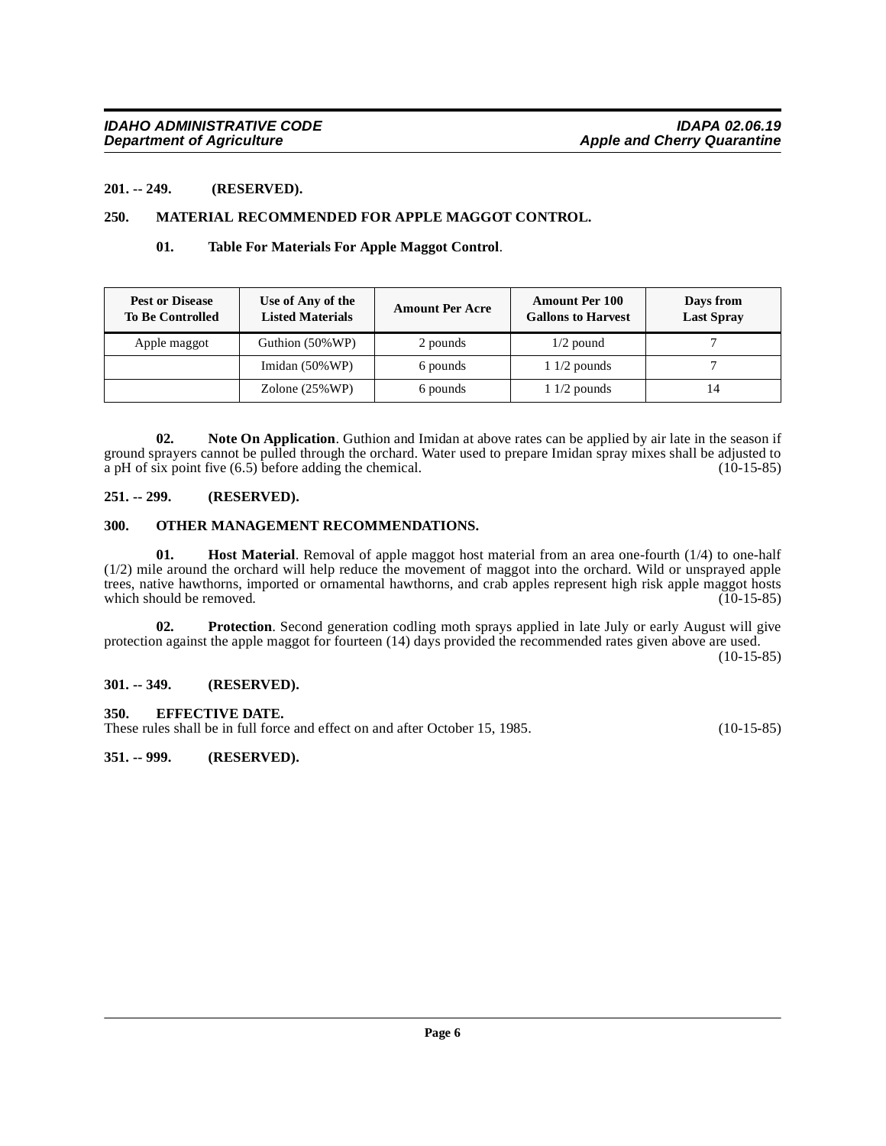#### <span id="page-5-0"></span>**201. -- 249. (RESERVED).**

#### <span id="page-5-1"></span>**250. MATERIAL RECOMMENDED FOR APPLE MAGGOT CONTROL.**

#### <span id="page-5-13"></span><span id="page-5-9"></span>**01. Table For Materials For Apple Maggot Control**.

| <b>Pest or Disease</b><br><b>To Be Controlled</b> | Use of Any of the<br><b>Listed Materials</b> | <b>Amount Per Acre</b> | <b>Amount Per 100</b><br><b>Gallons to Harvest</b> | Days from<br><b>Last Spray</b> |
|---------------------------------------------------|----------------------------------------------|------------------------|----------------------------------------------------|--------------------------------|
| Apple maggot                                      | Guthion (50% WP)                             | 2 pounds               | $1/2$ pound                                        |                                |
|                                                   | Imidan $(50\% \text{WP})$                    | 6 pounds               | $11/2$ pounds                                      |                                |
|                                                   | Zolone $(25\% \text{WP})$                    | 6 pounds               | $11/2$ pounds                                      |                                |

<span id="page-5-10"></span>**02. Note On Application**. Guthion and Imidan at above rates can be applied by air late in the season if ground sprayers cannot be pulled through the orchard. Water used to prepare Imidan spray mixes shall be adjusted to a pH of six point five  $(6.5)$  before adding the chemical. (10-15-85)

#### <span id="page-5-2"></span>**251. -- 299. (RESERVED).**

#### <span id="page-5-11"></span><span id="page-5-3"></span>**300. OTHER MANAGEMENT RECOMMENDATIONS.**

<span id="page-5-8"></span>**01. Host Material**. Removal of apple maggot host material from an area one-fourth (1/4) to one-half (1/2) mile around the orchard will help reduce the movement of maggot into the orchard. Wild or unsprayed apple trees, native hawthorns, imported or ornamental hawthorns, and crab apples represent high risk apple maggot hosts which should be removed. (10-15-85) (10-15-85)

<span id="page-5-12"></span>**02. Protection**. Second generation codling moth sprays applied in late July or early August will give protection against the apple maggot for fourteen (14) days provided the recommended rates given above are used. (10-15-85)

#### <span id="page-5-4"></span>**301. -- 349. (RESERVED).**

#### <span id="page-5-7"></span><span id="page-5-5"></span>**350. EFFECTIVE DATE.**

These rules shall be in full force and effect on and after October 15, 1985. (10-15-85)

#### <span id="page-5-6"></span>**351. -- 999. (RESERVED).**